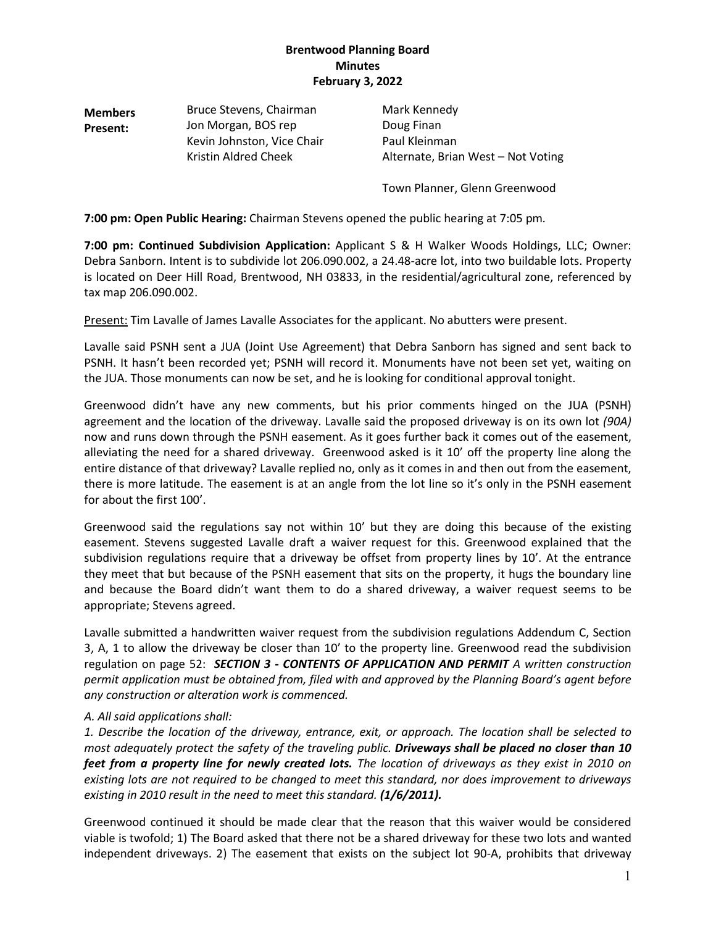**Members Present:** Bruce Stevens, Chairman Mark Kennedy Jon Morgan, BOS rep Doug Finan Kevin Johnston, Vice Chair Paul Kleinman

Kristin Aldred Cheek **Alternate, Brian West – Not Voting** 

Town Planner, Glenn Greenwood

**7:00 pm: Open Public Hearing:** Chairman Stevens opened the public hearing at 7:05 pm*.*

**7:00 pm: Continued Subdivision Application:** Applicant S & H Walker Woods Holdings, LLC; Owner: Debra Sanborn. Intent is to subdivide lot 206.090.002, a 24.48-acre lot, into two buildable lots. Property is located on Deer Hill Road, Brentwood, NH 03833, in the residential/agricultural zone, referenced by tax map 206.090.002.

Present: Tim Lavalle of James Lavalle Associates for the applicant. No abutters were present.

Lavalle said PSNH sent a JUA (Joint Use Agreement) that Debra Sanborn has signed and sent back to PSNH. It hasn't been recorded yet; PSNH will record it. Monuments have not been set yet, waiting on the JUA. Those monuments can now be set, and he is looking for conditional approval tonight.

Greenwood didn't have any new comments, but his prior comments hinged on the JUA (PSNH) agreement and the location of the driveway. Lavalle said the proposed driveway is on its own lot *(90A)* now and runs down through the PSNH easement. As it goes further back it comes out of the easement, alleviating the need for a shared driveway. Greenwood asked is it 10' off the property line along the entire distance of that driveway? Lavalle replied no, only as it comes in and then out from the easement, there is more latitude. The easement is at an angle from the lot line so it's only in the PSNH easement for about the first 100'.

Greenwood said the regulations say not within 10' but they are doing this because of the existing easement. Stevens suggested Lavalle draft a waiver request for this. Greenwood explained that the subdivision regulations require that a driveway be offset from property lines by 10'. At the entrance they meet that but because of the PSNH easement that sits on the property, it hugs the boundary line and because the Board didn't want them to do a shared driveway, a waiver request seems to be appropriate; Stevens agreed.

Lavalle submitted a handwritten waiver request from the subdivision regulations Addendum C, Section 3, A, 1 to allow the driveway be closer than 10' to the property line. Greenwood read the subdivision regulation on page 52: *SECTION 3 - CONTENTS OF APPLICATION AND PERMIT A written construction permit application must be obtained from, filed with and approved by the Planning Board's agent before any construction or alteration work is commenced.*

### *A. All said applications shall:*

*1. Describe the location of the driveway, entrance, exit, or approach. The location shall be selected to most adequately protect the safety of the traveling public. Driveways shall be placed no closer than 10 feet from a property line for newly created lots. The location of driveways as they exist in 2010 on existing lots are not required to be changed to meet this standard, nor does improvement to driveways existing in 2010 result in the need to meet this standard. (1/6/2011).* 

Greenwood continued it should be made clear that the reason that this waiver would be considered viable is twofold; 1) The Board asked that there not be a shared driveway for these two lots and wanted independent driveways. 2) The easement that exists on the subject lot 90-A, prohibits that driveway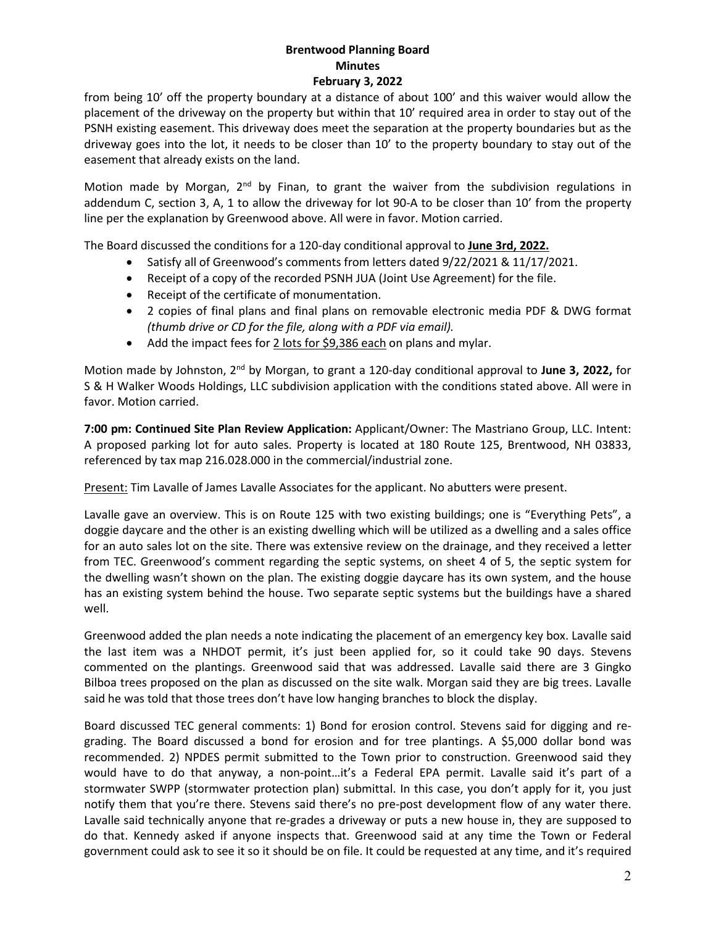from being 10' off the property boundary at a distance of about 100' and this waiver would allow the placement of the driveway on the property but within that 10' required area in order to stay out of the PSNH existing easement. This driveway does meet the separation at the property boundaries but as the driveway goes into the lot, it needs to be closer than 10' to the property boundary to stay out of the easement that already exists on the land.

Motion made by Morgan, 2<sup>nd</sup> by Finan, to grant the waiver from the subdivision regulations in addendum C, section 3, A, 1 to allow the driveway for lot 90-A to be closer than 10' from the property line per the explanation by Greenwood above. All were in favor. Motion carried.

The Board discussed the conditions for a 120-day conditional approval to **June 3rd, 2022.**

- Satisfy all of Greenwood's comments from letters dated 9/22/2021 & 11/17/2021.
- Receipt of a copy of the recorded PSNH JUA (Joint Use Agreement) for the file.
- Receipt of the certificate of monumentation.
- 2 copies of final plans and final plans on removable electronic media PDF & DWG format *(thumb drive or CD for the file, along with a PDF via email).*
- Add the impact fees for 2 lots for \$9,386 each on plans and mylar.

Motion made by Johnston, 2nd by Morgan, to grant a 120-day conditional approval to **June 3, 2022,** for S & H Walker Woods Holdings, LLC subdivision application with the conditions stated above. All were in favor. Motion carried.

**7:00 pm: Continued Site Plan Review Application:** Applicant/Owner: The Mastriano Group, LLC. Intent: A proposed parking lot for auto sales. Property is located at 180 Route 125, Brentwood, NH 03833, referenced by tax map 216.028.000 in the commercial/industrial zone.

Present: Tim Lavalle of James Lavalle Associates for the applicant. No abutters were present.

Lavalle gave an overview. This is on Route 125 with two existing buildings; one is "Everything Pets", a doggie daycare and the other is an existing dwelling which will be utilized as a dwelling and a sales office for an auto sales lot on the site. There was extensive review on the drainage, and they received a letter from TEC. Greenwood's comment regarding the septic systems, on sheet 4 of 5, the septic system for the dwelling wasn't shown on the plan. The existing doggie daycare has its own system, and the house has an existing system behind the house. Two separate septic systems but the buildings have a shared well.

Greenwood added the plan needs a note indicating the placement of an emergency key box. Lavalle said the last item was a NHDOT permit, it's just been applied for, so it could take 90 days. Stevens commented on the plantings. Greenwood said that was addressed. Lavalle said there are 3 Gingko Bilboa trees proposed on the plan as discussed on the site walk. Morgan said they are big trees. Lavalle said he was told that those trees don't have low hanging branches to block the display.

Board discussed TEC general comments: 1) Bond for erosion control. Stevens said for digging and regrading. The Board discussed a bond for erosion and for tree plantings. A \$5,000 dollar bond was recommended. 2) NPDES permit submitted to the Town prior to construction. Greenwood said they would have to do that anyway, a non-point…it's a Federal EPA permit. Lavalle said it's part of a stormwater SWPP (stormwater protection plan) submittal. In this case, you don't apply for it, you just notify them that you're there. Stevens said there's no pre-post development flow of any water there. Lavalle said technically anyone that re-grades a driveway or puts a new house in, they are supposed to do that. Kennedy asked if anyone inspects that. Greenwood said at any time the Town or Federal government could ask to see it so it should be on file. It could be requested at any time, and it's required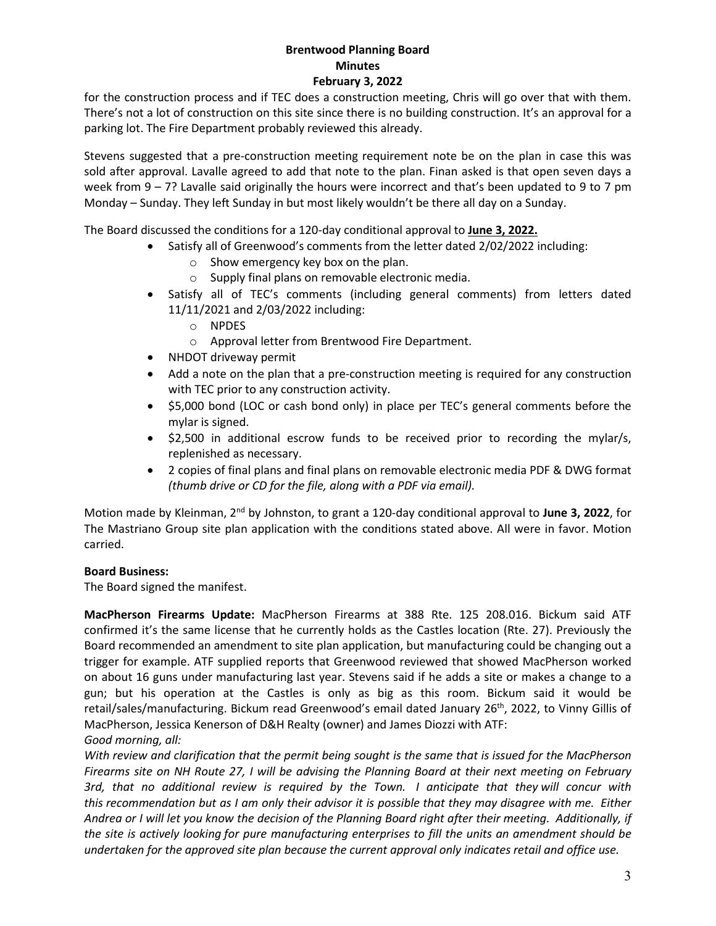for the construction process and if TEC does a construction meeting, Chris will go over that with them. There's not a lot of construction on this site since there is no building construction. It's an approval for a parking lot. The Fire Department probably reviewed this already.

Stevens suggested that a pre-construction meeting requirement note be on the plan in case this was sold after approval. Lavalle agreed to add that note to the plan. Finan asked is that open seven days a week from 9 – 7? Lavalle said originally the hours were incorrect and that's been updated to 9 to 7 pm Monday – Sunday. They left Sunday in but most likely wouldn't be there all day on a Sunday.

The Board discussed the conditions for a 120-day conditional approval to **June 3, 2022.** 

- Satisfy all of Greenwood's comments from the letter dated 2/02/2022 including:
	- o Show emergency key box on the plan.
	- o Supply final plans on removable electronic media.
- Satisfy all of TEC's comments (including general comments) from letters dated 11/11/2021 and 2/03/2022 including:
	- o NPDES
	- o Approval letter from Brentwood Fire Department.
- NHDOT driveway permit
- Add a note on the plan that a pre-construction meeting is required for any construction with TEC prior to any construction activity.
- \$5,000 bond (LOC or cash bond only) in place per TEC's general comments before the mylar is signed.
- \$2,500 in additional escrow funds to be received prior to recording the mylar/s, replenished as necessary.
- 2 copies of final plans and final plans on removable electronic media PDF & DWG format *(thumb drive or CD for the file, along with a PDF via email).*

Motion made by Kleinman, 2nd by Johnston, to grant a 120-day conditional approval to **June 3, 2022**, for The Mastriano Group site plan application with the conditions stated above. All were in favor. Motion carried.

### **Board Business:**

The Board signed the manifest.

**MacPherson Firearms Update:** MacPherson Firearms at 388 Rte. 125 208.016. Bickum said ATF confirmed it's the same license that he currently holds as the Castles location (Rte. 27). Previously the Board recommended an amendment to site plan application, but manufacturing could be changing out a trigger for example. ATF supplied reports that Greenwood reviewed that showed MacPherson worked on about 16 guns under manufacturing last year. Stevens said if he adds a site or makes a change to a gun; but his operation at the Castles is only as big as this room. Bickum said it would be retail/sales/manufacturing. Bickum read Greenwood's email dated January 26<sup>th</sup>, 2022, to Vinny Gillis of MacPherson, Jessica Kenerson of D&H Realty (owner) and James Diozzi with ATF: *Good morning, all:*

*With review and clarification that the permit being sought is the same that is issued for the MacPherson Firearms site on NH Route 27, I will be advising the Planning Board at their next meeting on February 3rd, that no additional review is required by the Town. I anticipate that they will concur with this recommendation but as I am only their advisor it is possible that they may disagree with me. Either Andrea or I will let you know the decision of the Planning Board right after their meeting. Additionally, if the site is actively looking for pure manufacturing enterprises to fill the units an amendment should be undertaken for the approved site plan because the current approval only indicates retail and office use.*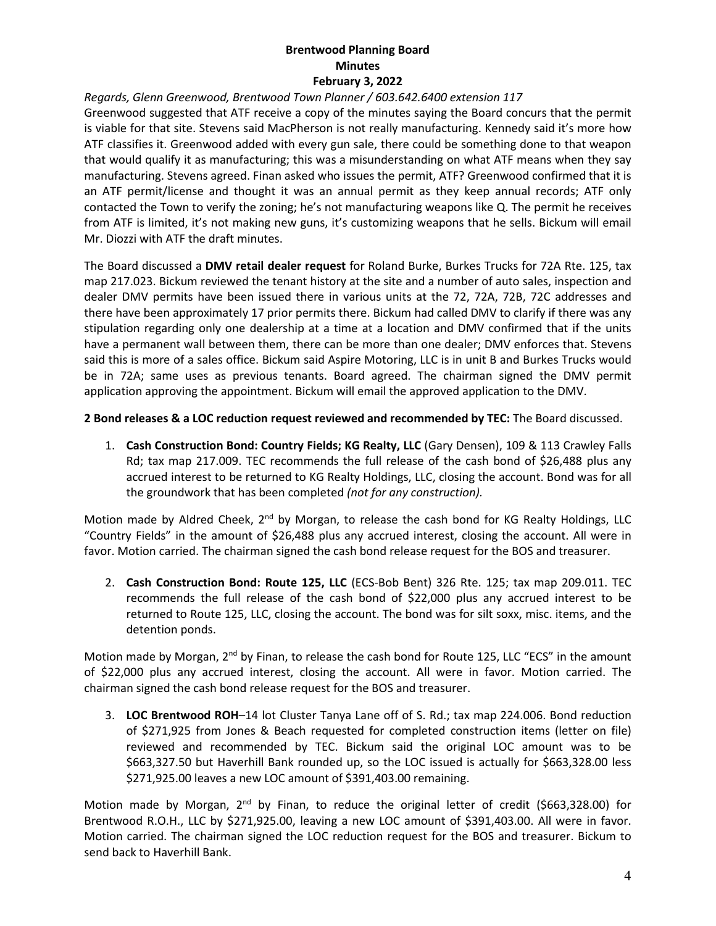### *Regards, Glenn Greenwood, Brentwood Town Planner / 603.642.6400 extension 117*

Greenwood suggested that ATF receive a copy of the minutes saying the Board concurs that the permit is viable for that site. Stevens said MacPherson is not really manufacturing. Kennedy said it's more how ATF classifies it. Greenwood added with every gun sale, there could be something done to that weapon that would qualify it as manufacturing; this was a misunderstanding on what ATF means when they say manufacturing. Stevens agreed. Finan asked who issues the permit, ATF? Greenwood confirmed that it is an ATF permit/license and thought it was an annual permit as they keep annual records; ATF only contacted the Town to verify the zoning; he's not manufacturing weapons like Q. The permit he receives from ATF is limited, it's not making new guns, it's customizing weapons that he sells. Bickum will email Mr. Diozzi with ATF the draft minutes.

The Board discussed a **DMV retail dealer request** for Roland Burke, Burkes Trucks for 72A Rte. 125, tax map 217.023. Bickum reviewed the tenant history at the site and a number of auto sales, inspection and dealer DMV permits have been issued there in various units at the 72, 72A, 72B, 72C addresses and there have been approximately 17 prior permits there. Bickum had called DMV to clarify if there was any stipulation regarding only one dealership at a time at a location and DMV confirmed that if the units have a permanent wall between them, there can be more than one dealer; DMV enforces that. Stevens said this is more of a sales office. Bickum said Aspire Motoring, LLC is in unit B and Burkes Trucks would be in 72A; same uses as previous tenants. Board agreed. The chairman signed the DMV permit application approving the appointment. Bickum will email the approved application to the DMV.

**2 Bond releases & a LOC reduction request reviewed and recommended by TEC:** The Board discussed.

1. **Cash Construction Bond: Country Fields; KG Realty, LLC** (Gary Densen), 109 & 113 Crawley Falls Rd; tax map 217.009. TEC recommends the full release of the cash bond of \$26,488 plus any accrued interest to be returned to KG Realty Holdings, LLC, closing the account. Bond was for all the groundwork that has been completed *(not for any construction).*

Motion made by Aldred Cheek,  $2<sup>nd</sup>$  by Morgan, to release the cash bond for KG Realty Holdings, LLC "Country Fields" in the amount of \$26,488 plus any accrued interest, closing the account. All were in favor. Motion carried. The chairman signed the cash bond release request for the BOS and treasurer.

2. **Cash Construction Bond: Route 125, LLC** (ECS-Bob Bent) 326 Rte. 125; tax map 209.011. TEC recommends the full release of the cash bond of \$22,000 plus any accrued interest to be returned to Route 125, LLC, closing the account. The bond was for silt soxx, misc. items, and the detention ponds.

Motion made by Morgan, 2<sup>nd</sup> by Finan, to release the cash bond for Route 125, LLC "ECS" in the amount of \$22,000 plus any accrued interest, closing the account. All were in favor. Motion carried. The chairman signed the cash bond release request for the BOS and treasurer.

3. **LOC Brentwood ROH**–14 lot Cluster Tanya Lane off of S. Rd.; tax map 224.006. Bond reduction of \$271,925 from Jones & Beach requested for completed construction items (letter on file) reviewed and recommended by TEC. Bickum said the original LOC amount was to be \$663,327.50 but Haverhill Bank rounded up, so the LOC issued is actually for \$663,328.00 less \$271,925.00 leaves a new LOC amount of \$391,403.00 remaining.

Motion made by Morgan, 2<sup>nd</sup> by Finan, to reduce the original letter of credit (\$663,328.00) for Brentwood R.O.H., LLC by \$271,925.00, leaving a new LOC amount of \$391,403.00. All were in favor. Motion carried. The chairman signed the LOC reduction request for the BOS and treasurer. Bickum to send back to Haverhill Bank.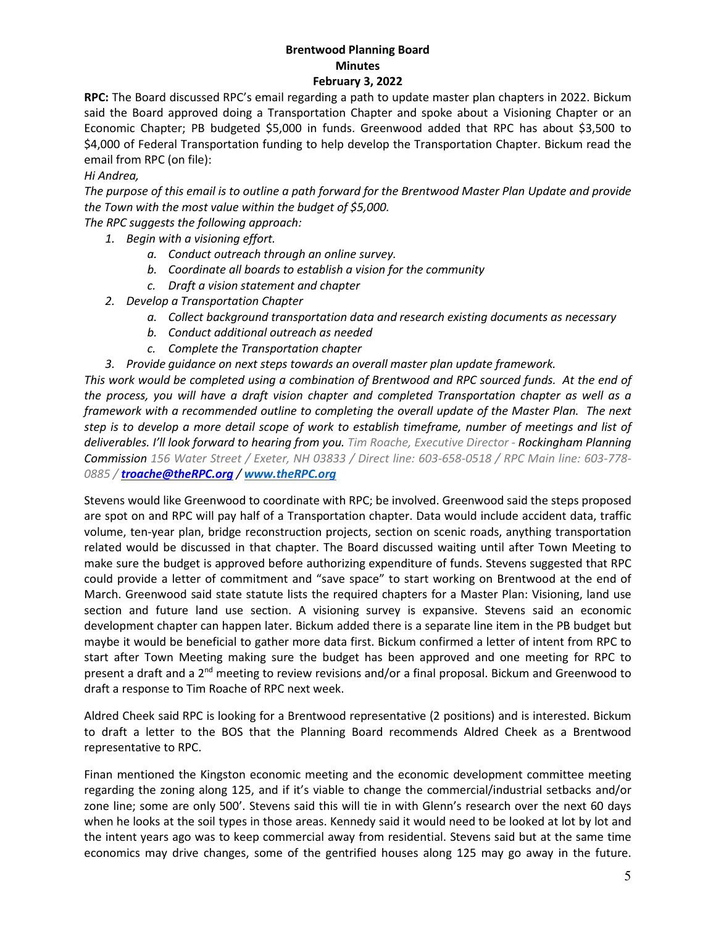**RPC:** The Board discussed RPC's email regarding a path to update master plan chapters in 2022. Bickum said the Board approved doing a Transportation Chapter and spoke about a Visioning Chapter or an Economic Chapter; PB budgeted \$5,000 in funds. Greenwood added that RPC has about \$3,500 to \$4,000 of Federal Transportation funding to help develop the Transportation Chapter. Bickum read the email from RPC (on file):

*Hi Andrea,*

*The purpose of this email is to outline a path forward for the Brentwood Master Plan Update and provide the Town with the most value within the budget of \$5,000.* 

*The RPC suggests the following approach:*

- *1. Begin with a visioning effort.* 
	- *a. Conduct outreach through an online survey.*
	- *b. Coordinate all boards to establish a vision for the community*
	- *c. Draft a vision statement and chapter*
- *2. Develop a Transportation Chapter*
	- *a. Collect background transportation data and research existing documents as necessary*
	- *b. Conduct additional outreach as needed*
	- *c. Complete the Transportation chapter*
- *3. Provide guidance on next steps towards an overall master plan update framework.*

*This work would be completed using a combination of Brentwood and RPC sourced funds. At the end of the process, you will have a draft vision chapter and completed Transportation chapter as well as a framework with a recommended outline to completing the overall update of the Master Plan. The next step is to develop a more detail scope of work to establish timeframe, number of meetings and list of deliverables. I'll look forward to hearing from you. Tim Roache, Executive Director - Rockingham Planning Commission 156 Water Street / Exeter, NH 03833 / Direct line: 603-658-0518 / RPC Main line: 603-778- 0885 / troache@theRPC.org / www.theRPC.org*

Stevens would like Greenwood to coordinate with RPC; be involved. Greenwood said the steps proposed are spot on and RPC will pay half of a Transportation chapter. Data would include accident data, traffic volume, ten-year plan, bridge reconstruction projects, section on scenic roads, anything transportation related would be discussed in that chapter. The Board discussed waiting until after Town Meeting to make sure the budget is approved before authorizing expenditure of funds. Stevens suggested that RPC could provide a letter of commitment and "save space" to start working on Brentwood at the end of March. Greenwood said state statute lists the required chapters for a Master Plan: Visioning, land use section and future land use section. A visioning survey is expansive. Stevens said an economic development chapter can happen later. Bickum added there is a separate line item in the PB budget but maybe it would be beneficial to gather more data first. Bickum confirmed a letter of intent from RPC to start after Town Meeting making sure the budget has been approved and one meeting for RPC to present a draft and a 2nd meeting to review revisions and/or a final proposal. Bickum and Greenwood to draft a response to Tim Roache of RPC next week.

Aldred Cheek said RPC is looking for a Brentwood representative (2 positions) and is interested. Bickum to draft a letter to the BOS that the Planning Board recommends Aldred Cheek as a Brentwood representative to RPC.

Finan mentioned the Kingston economic meeting and the economic development committee meeting regarding the zoning along 125, and if it's viable to change the commercial/industrial setbacks and/or zone line; some are only 500'. Stevens said this will tie in with Glenn's research over the next 60 days when he looks at the soil types in those areas. Kennedy said it would need to be looked at lot by lot and the intent years ago was to keep commercial away from residential. Stevens said but at the same time economics may drive changes, some of the gentrified houses along 125 may go away in the future.